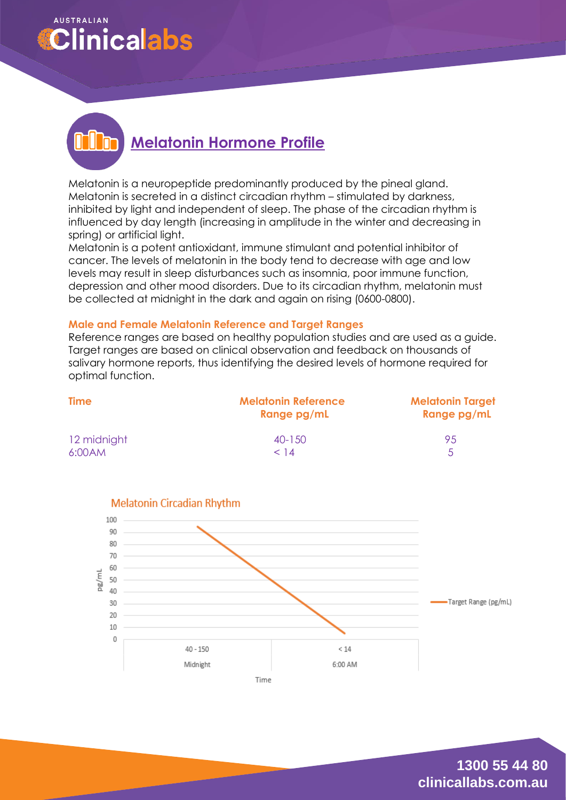## **AUSTRALIAN Clinicalabs**

# **Melatonin Hormone Profile**

Melatonin is a neuropeptide predominantly produced by the pineal gland. Melatonin is secreted in a distinct circadian rhythm – stimulated by darkness, inhibited by light and independent of sleep. The phase of the circadian rhythm is influenced by day length (increasing in amplitude in the winter and decreasing in spring) or artificial light.

Melatonin is a potent antioxidant, immune stimulant and potential inhibitor of cancer. The levels of melatonin in the body tend to decrease with age and low levels may result in sleep disturbances such as insomnia, poor immune function, depression and other mood disorders. Due to its circadian rhythm, melatonin must be collected at midnight in the dark and again on rising (0600-0800).

#### **Male and Female Melatonin Reference and Target Ranges**

Reference ranges are based on healthy population studies and are used as a guide. Target ranges are based on clinical observation and feedback on thousands of salivary hormone reports, thus identifying the desired levels of hormone required for optimal function.

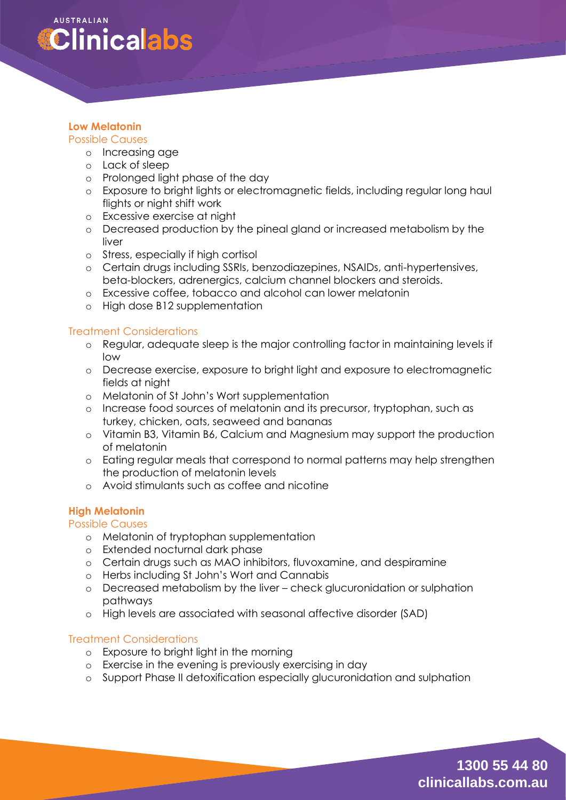

## **Low Melatonin**

#### Possible Causes

- o Increasing age
- o Lack of sleep
- o Prolonged light phase of the day
- o Exposure to bright lights or electromagnetic fields, including regular long haul flights or night shift work
- o Excessive exercise at night
- o Decreased production by the pineal gland or increased metabolism by the liver
- o Stress, especially if high cortisol
- o Certain drugs including SSRIs, benzodiazepines, NSAIDs, anti-hypertensives, beta-blockers, adrenergics, calcium channel blockers and steroids.
- o Excessive coffee, tobacco and alcohol can lower melatonin
- o High dose B12 supplementation

#### Treatment Considerations

- o Regular, adequate sleep is the major controlling factor in maintaining levels if low
- o Decrease exercise, exposure to bright light and exposure to electromagnetic fields at night
- o Melatonin of St John's Wort supplementation
- o Increase food sources of melatonin and its precursor, tryptophan, such as turkey, chicken, oats, seaweed and bananas
- o Vitamin B3, Vitamin B6, Calcium and Magnesium may support the production of melatonin
- o Eating regular meals that correspond to normal patterns may help strengthen the production of melatonin levels
- o Avoid stimulants such as coffee and nicotine

## **High Melatonin**

#### Possible Causes

- o Melatonin of tryptophan supplementation
- o Extended nocturnal dark phase
- o Certain drugs such as MAO inhibitors, fluvoxamine, and despiramine
- o Herbs including St John's Wort and Cannabis
- o Decreased metabolism by the liver check glucuronidation or sulphation pathways
- o High levels are associated with seasonal affective disorder (SAD)

#### Treatment Considerations

- o Exposure to bright light in the morning
- o Exercise in the evening is previously exercising in day
- o Support Phase II detoxification especially glucuronidation and sulphation